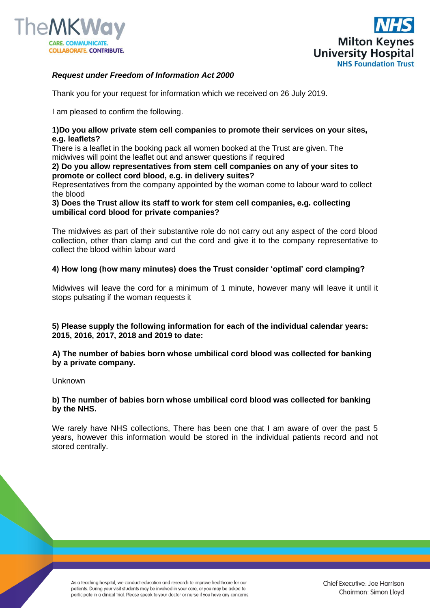



# *Request under Freedom of Information Act 2000*

Thank you for your request for information which we received on 26 July 2019.

I am pleased to confirm the following.

## **1)Do you allow private stem cell companies to promote their services on your sites, e.g. leaflets?**

There is a leaflet in the booking pack all women booked at the Trust are given. The midwives will point the leaflet out and answer questions if required

#### **2) Do you allow representatives from stem cell companies on any of your sites to promote or collect cord blood, e.g. in delivery suites?**

Representatives from the company appointed by the woman come to labour ward to collect the blood

**3) Does the Trust allow its staff to work for stem cell companies, e.g. collecting umbilical cord blood for private companies?**

The midwives as part of their substantive role do not carry out any aspect of the cord blood collection, other than clamp and cut the cord and give it to the company representative to collect the blood within labour ward

# **4) How long (how many minutes) does the Trust consider 'optimal' cord clamping?**

Midwives will leave the cord for a minimum of 1 minute, however many will leave it until it stops pulsating if the woman requests it

**5) Please supply the following information for each of the individual calendar years: 2015, 2016, 2017, 2018 and 2019 to date:** 

**A) The number of babies born whose umbilical cord blood was collected for banking by a private company.**

Unknown

# **b) The number of babies born whose umbilical cord blood was collected for banking by the NHS.**

We rarely have NHS collections, There has been one that I am aware of over the past 5 years, however this information would be stored in the individual patients record and not stored centrally.

As a teaching hospital, we conduct education and research to improve healthcare for our patients. During your visit students may be involved in your care, or you may be asked to participate in a clinical trial. Please speak to your doctor or nurse if you have any concerns. Chief Executive: Joe Harrison Chairman: Simon Lloyd